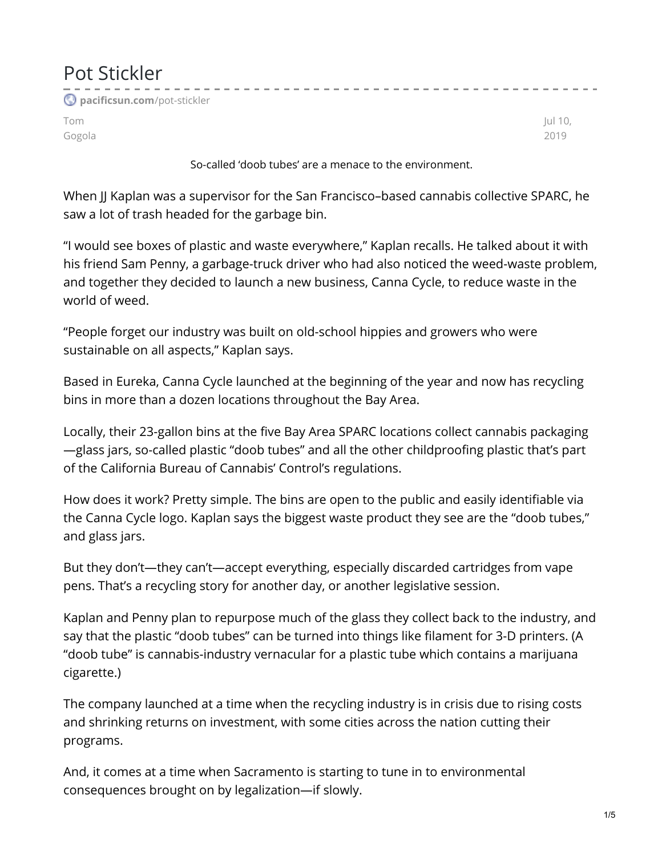## Pot Stickler --------------**[pacificsun.com](https://pacificsun.com/pot-stickler/)**/pot-stickler Tom Jul 10, Gogola 2019

So-called 'doob tubes' are a menace to the environment.

When JJ Kaplan was a supervisor for the San Francisco-based cannabis collective SPARC, he saw a lot of trash headed for the garbage bin.

"I would see boxes of plastic and waste everywhere," Kaplan recalls. He talked about it with his friend Sam Penny, a garbage-truck driver who had also noticed the weed-waste problem, and together they decided to launch a new business, Canna Cycle, to reduce waste in the world of weed.

"People forget our industry was built on old-school hippies and growers who were sustainable on all aspects," Kaplan says.

Based in Eureka, Canna Cycle launched at the beginning of the year and now has recycling bins in more than a dozen locations throughout the Bay Area.

Locally, their 23-gallon bins at the five Bay Area SPARC locations collect cannabis packaging —glass jars, so-called plastic "doob tubes" and all the other childproofing plastic that's part of the California Bureau of Cannabis' Control's regulations.

How does it work? Pretty simple. The bins are open to the public and easily identifiable via the Canna Cycle logo. Kaplan says the biggest waste product they see are the "doob tubes," and glass jars.

But they don't—they can't—accept everything, especially discarded cartridges from vape pens. That's a recycling story for another day, or another legislative session.

Kaplan and Penny plan to repurpose much of the glass they collect back to the industry, and say that the plastic "doob tubes" can be turned into things like filament for 3-D printers. (A "doob tube" is cannabis-industry vernacular for a plastic tube which contains a marijuana cigarette.)

The company launched at a time when the recycling industry is in crisis due to rising costs and shrinking returns on investment, with some cities across the nation cutting their programs.

And, it comes at a time when Sacramento is starting to tune in to environmental consequences brought on by legalization—if slowly.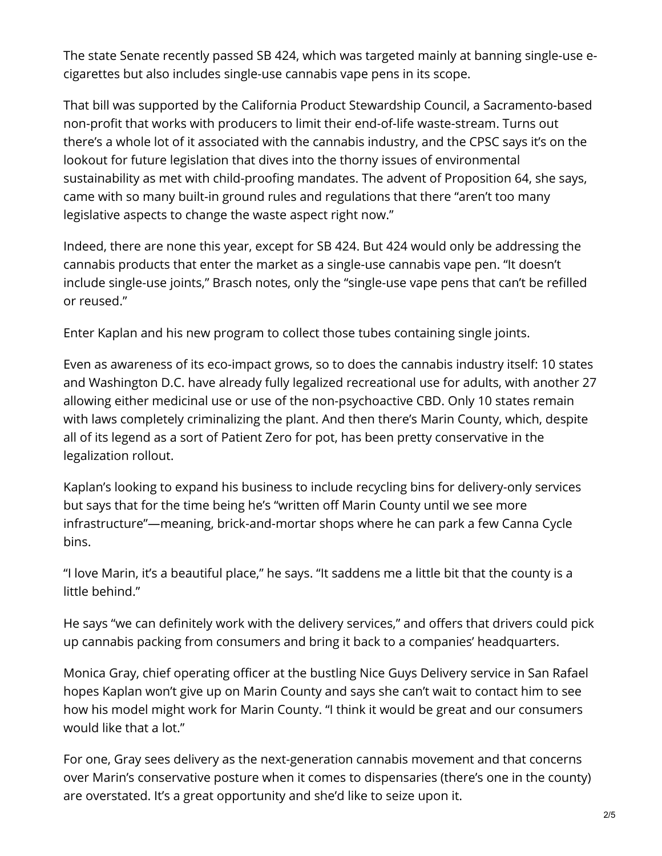The state Senate recently passed SB 424, which was targeted mainly at banning single-use ecigarettes but also includes single-use cannabis vape pens in its scope.

That bill was supported by the California Product Stewardship Council, a Sacramento-based non-profit that works with producers to limit their end-of-life waste-stream. Turns out there's a whole lot of it associated with the cannabis industry, and the CPSC says it's on the lookout for future legislation that dives into the thorny issues of environmental sustainability as met with child-proofing mandates. The advent of Proposition 64, she says, came with so many built-in ground rules and regulations that there "aren't too many legislative aspects to change the waste aspect right now."

Indeed, there are none this year, except for SB 424. But 424 would only be addressing the cannabis products that enter the market as a single-use cannabis vape pen. "It doesn't include single-use joints," Brasch notes, only the "single-use vape pens that can't be refilled or reused."

Enter Kaplan and his new program to collect those tubes containing single joints.

Even as awareness of its eco-impact grows, so to does the cannabis industry itself: 10 states and Washington D.C. have already fully legalized recreational use for adults, with another 27 allowing either medicinal use or use of the non-psychoactive CBD. Only 10 states remain with laws completely criminalizing the plant. And then there's Marin County, which, despite all of its legend as a sort of Patient Zero for pot, has been pretty conservative in the legalization rollout.

Kaplan's looking to expand his business to include recycling bins for delivery-only services but says that for the time being he's "written off Marin County until we see more infrastructure"—meaning, brick-and-mortar shops where he can park a few Canna Cycle bins.

"I love Marin, it's a beautiful place," he says. "It saddens me a little bit that the county is a little behind."

He says "we can definitely work with the delivery services," and offers that drivers could pick up cannabis packing from consumers and bring it back to a companies' headquarters.

Monica Gray, chief operating officer at the bustling Nice Guys Delivery service in San Rafael hopes Kaplan won't give up on Marin County and says she can't wait to contact him to see how his model might work for Marin County. "I think it would be great and our consumers would like that a lot."

For one, Gray sees delivery as the next-generation cannabis movement and that concerns over Marin's conservative posture when it comes to dispensaries (there's one in the county) are overstated. It's a great opportunity and she'd like to seize upon it.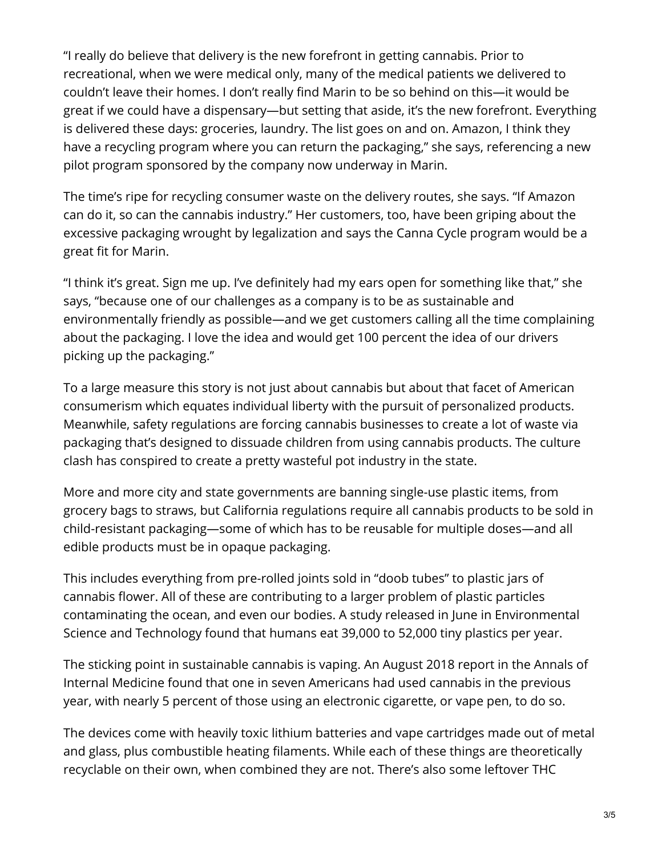"I really do believe that delivery is the new forefront in getting cannabis. Prior to recreational, when we were medical only, many of the medical patients we delivered to couldn't leave their homes. I don't really find Marin to be so behind on this—it would be great if we could have a dispensary—but setting that aside, it's the new forefront. Everything is delivered these days: groceries, laundry. The list goes on and on. Amazon, I think they have a recycling program where you can return the packaging," she says, referencing a new pilot program sponsored by the company now underway in Marin.

The time's ripe for recycling consumer waste on the delivery routes, she says. "If Amazon can do it, so can the cannabis industry." Her customers, too, have been griping about the excessive packaging wrought by legalization and says the Canna Cycle program would be a great fit for Marin.

"I think it's great. Sign me up. I've definitely had my ears open for something like that," she says, "because one of our challenges as a company is to be as sustainable and environmentally friendly as possible—and we get customers calling all the time complaining about the packaging. I love the idea and would get 100 percent the idea of our drivers picking up the packaging."

To a large measure this story is not just about cannabis but about that facet of American consumerism which equates individual liberty with the pursuit of personalized products. Meanwhile, safety regulations are forcing cannabis businesses to create a lot of waste via packaging that's designed to dissuade children from using cannabis products. The culture clash has conspired to create a pretty wasteful pot industry in the state.

More and more city and state governments are banning single-use plastic items, from grocery bags to straws, but California regulations require all cannabis products to be sold in child-resistant packaging—some of which has to be reusable for multiple doses—and all edible products must be in opaque packaging.

This includes everything from pre-rolled joints sold in "doob tubes" to plastic jars of cannabis flower. All of these are contributing to a larger problem of plastic particles contaminating the ocean, and even our bodies. A study released in June in Environmental Science and Technology found that humans eat 39,000 to 52,000 tiny plastics per year.

The sticking point in sustainable cannabis is vaping. An August 2018 report in the Annals of Internal Medicine found that one in seven Americans had used cannabis in the previous year, with nearly 5 percent of those using an electronic cigarette, or vape pen, to do so.

The devices come with heavily toxic lithium batteries and vape cartridges made out of metal and glass, plus combustible heating filaments. While each of these things are theoretically recyclable on their own, when combined they are not. There's also some leftover THC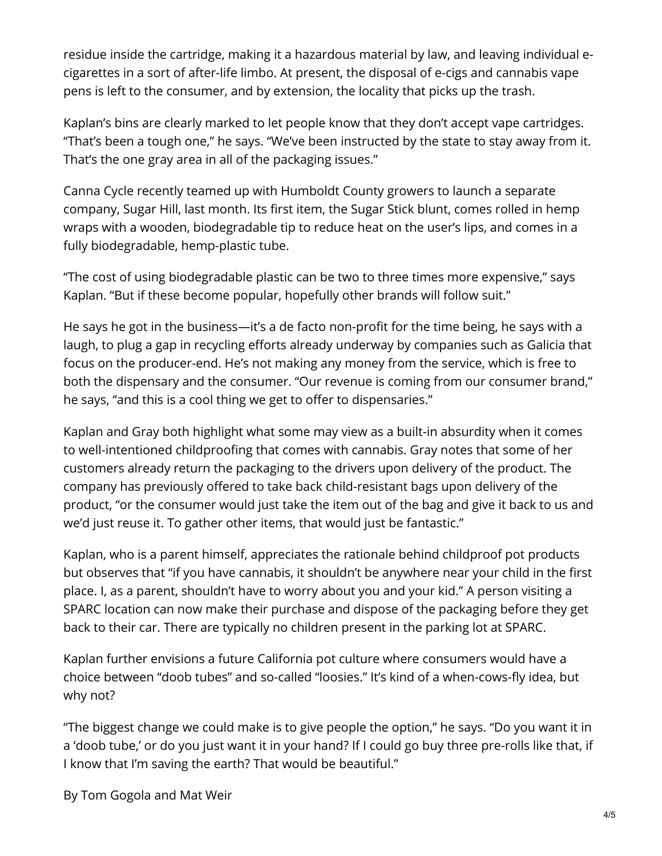residue inside the cartridge, making it a hazardous material by law, and leaving individual ecigarettes in a sort of after-life limbo. At present, the disposal of e-cigs and cannabis vape pens is left to the consumer, and by extension, the locality that picks up the trash.

Kaplan's bins are clearly marked to let people know that they don't accept vape cartridges. "That's been a tough one," he says. "We've been instructed by the state to stay away from it. That's the one gray area in all of the packaging issues."

Canna Cycle recently teamed up with Humboldt County growers to launch a separate company, Sugar Hill, last month. Its first item, the Sugar Stick blunt, comes rolled in hemp wraps with a wooden, biodegradable tip to reduce heat on the user's lips, and comes in a fully biodegradable, hemp-plastic tube.

"The cost of using biodegradable plastic can be two to three times more expensive," says Kaplan. "But if these become popular, hopefully other brands will follow suit."

He says he got in the business—it's a de facto non-profit for the time being, he says with a laugh, to plug a gap in recycling efforts already underway by companies such as Galicia that focus on the producer-end. He's not making any money from the service, which is free to both the dispensary and the consumer. "Our revenue is coming from our consumer brand," he says, "and this is a cool thing we get to offer to dispensaries."

Kaplan and Gray both highlight what some may view as a built-in absurdity when it comes to well-intentioned childproofing that comes with cannabis. Gray notes that some of her customers already return the packaging to the drivers upon delivery of the product. The company has previously offered to take back child-resistant bags upon delivery of the product, "or the consumer would just take the item out of the bag and give it back to us and we'd just reuse it. To gather other items, that would just be fantastic."

Kaplan, who is a parent himself, appreciates the rationale behind childproof pot products but observes that "if you have cannabis, it shouldn't be anywhere near your child in the first place. I, as a parent, shouldn't have to worry about you and your kid." A person visiting a SPARC location can now make their purchase and dispose of the packaging before they get back to their car. There are typically no children present in the parking lot at SPARC.

Kaplan further envisions a future California pot culture where consumers would have a choice between "doob tubes" and so-called "loosies." It's kind of a when-cows-fly idea, but why not?

"The biggest change we could make is to give people the option," he says. "Do you want it in a 'doob tube,' or do you just want it in your hand? If I could go buy three pre-rolls like that, if I know that I'm saving the earth? That would be beautiful."

By Tom Gogola and Mat Weir